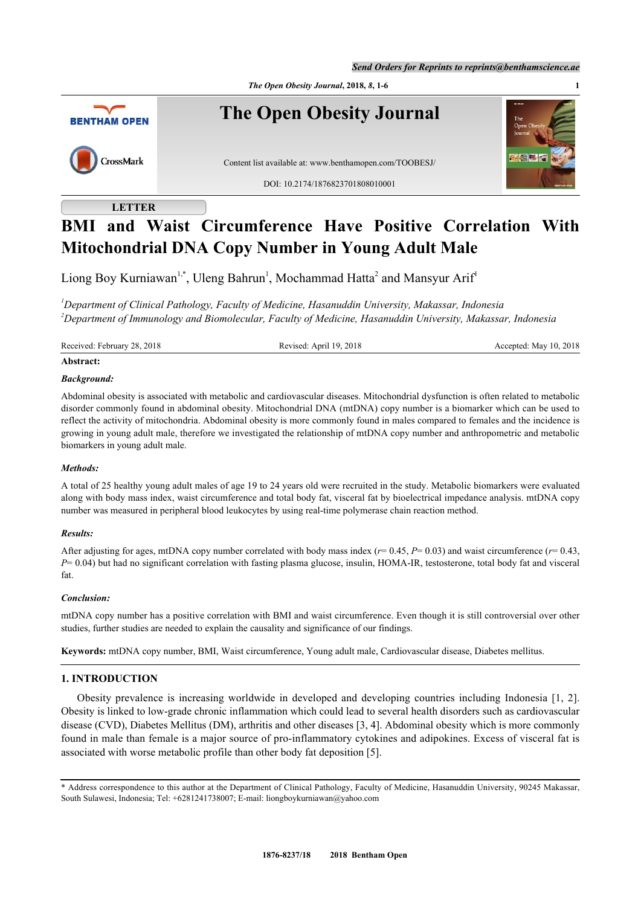*Send Orders for Reprints to reprints@benthamscience.ae*



# **LETTER**

# **BMI and Waist Circumference Have Positive Correlation With Mitochondrial DNA Copy Number in Young Adult Male**

Liong Boy Kurniawan<sup>[1,](#page-0-0)[\\*](#page-0-1)</sup>, Uleng Bahrun<sup>[1](#page-0-0)</sup>, Mochammad Hatta<sup>[2](#page-0-2)</sup> and Mansyur Arif<sup>1</sup>

<span id="page-0-2"></span><span id="page-0-0"></span>*<sup>1</sup>Department of Clinical Pathology, Faculty of Medicine, Hasanuddin University, Makassar, Indonesia <sup>2</sup>Department of Immunology and Biomolecular, Faculty of Medicine, Hasanuddin University, Makassar, Indonesia*

Received: February 28, 2018 Revised: April 19, 2018 Revised: April 19, 2018 Accepted: May 10, 2018

# **Abstract:**

# *Background:*

Abdominal obesity is associated with metabolic and cardiovascular diseases. Mitochondrial dysfunction is often related to metabolic disorder commonly found in abdominal obesity. Mitochondrial DNA (mtDNA) copy number is a biomarker which can be used to reflect the activity of mitochondria. Abdominal obesity is more commonly found in males compared to females and the incidence is growing in young adult male, therefore we investigated the relationship of mtDNA copy number and anthropometric and metabolic biomarkers in young adult male.

# *Methods:*

A total of 25 healthy young adult males of age 19 to 24 years old were recruited in the study. Metabolic biomarkers were evaluated along with body mass index, waist circumference and total body fat, visceral fat by bioelectrical impedance analysis. mtDNA copy number was measured in peripheral blood leukocytes by using real-time polymerase chain reaction method.

# *Results:*

After adjusting for ages, mtDNA copy number correlated with body mass index (*r*= 0.45, *P*= 0.03) and waist circumference (*r*= 0.43, *P*= 0.04) but had no significant correlation with fasting plasma glucose, insulin, HOMA-IR, testosterone, total body fat and visceral fat.

# *Conclusion:*

mtDNA copy number has a positive correlation with BMI and waist circumference. Even though it is still controversial over other studies, further studies are needed to explain the causality and significance of our findings.

**Keywords:** mtDNA copy number, BMI, Waist circumference, Young adult male, Cardiovascular disease, Diabetes mellitus.

# **1. INTRODUCTION**

Obesity prevalence is increasing worldwide in developed and developing countries including Indonesia [[1](#page-4-0), [2\]](#page-4-1). Obesity is linked to low-grade chronic inflammation which could lead to several health disorders such as cardiovascular disease (CVD), Diabetes Mellitus (DM), arthritis and other diseases [\[3](#page-4-2), [4](#page-4-3)]. Abdominal obesity which is more commonly found in male than female is a major source of pro-inflammatory cytokines and adipokines. Excess of visceral fat is associated with worse metabolic profile than other body fat deposition [[5\]](#page-4-4).

<span id="page-0-1"></span><sup>\*</sup> Address correspondence to this author at the Department of Clinical Pathology, Faculty of Medicine, Hasanuddin University, 90245 Makassar, South Sulawesi, Indonesia; Tel: +6281241738007; E-mail: [liongboykurniawan@yahoo.com](mailto:liongboykurniawan@yahoo.com)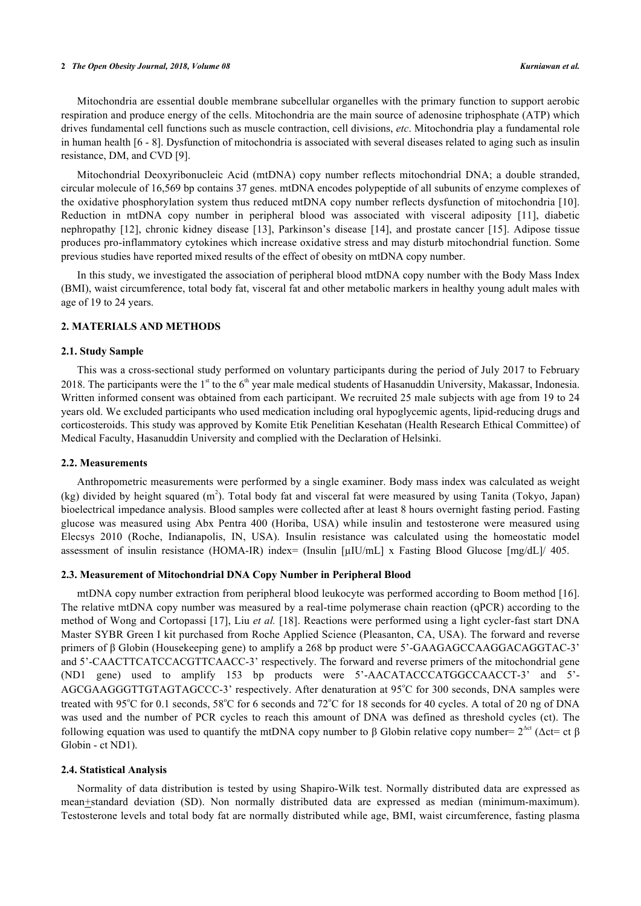#### **2** *The Open Obesity Journal, 2018, Volume 08 Kurniawan et al.*

Mitochondria are essential double membrane subcellular organelles with the primary function to support aerobic respiration and produce energy of the cells. Mitochondria are the main source of adenosine triphosphate (ATP) which drives fundamental cell functions such as muscle contraction, cell divisions, *etc*. Mitochondria play a fundamental role in human health [\[6](#page-4-5) - [8](#page-4-6)]. Dysfunction of mitochondria is associated with several diseases related to aging such as insulin resistance, DM, and CVD [\[9](#page-4-7)].

Mitochondrial Deoxyribonucleic Acid (mtDNA) copy number reflects mitochondrial DNA; a double stranded, circular molecule of 16,569 bp contains 37 genes. mtDNA encodes polypeptide of all subunits of enzyme complexes of the oxidative phosphorylation system thus reduced mtDNA copy number reflects dysfunction of mitochondria [\[10\]](#page-4-8). Reduction in mtDNA copy number in peripheral blood was associated with visceral adiposity [\[11\]](#page-4-9), diabetic nephropathy [\[12](#page-5-0)], chronic kidney disease[[13\]](#page-5-1), Parkinson's disease[[14](#page-5-2)], and prostate cancer [\[15](#page-5-3)]. Adipose tissue produces pro-inflammatory cytokines which increase oxidative stress and may disturb mitochondrial function. Some previous studies have reported mixed results of the effect of obesity on mtDNA copy number.

In this study, we investigated the association of peripheral blood mtDNA copy number with the Body Mass Index (BMI), waist circumference, total body fat, visceral fat and other metabolic markers in healthy young adult males with age of 19 to 24 years.

# **2. MATERIALS AND METHODS**

## **2.1. Study Sample**

This was a cross-sectional study performed on voluntary participants during the period of July 2017 to February 2018. The participants were the 1<sup>st</sup> to the  $6<sup>th</sup>$  year male medical students of Hasanuddin University, Makassar, Indonesia. Written informed consent was obtained from each participant. We recruited 25 male subjects with age from 19 to 24 years old. We excluded participants who used medication including oral hypoglycemic agents, lipid-reducing drugs and corticosteroids. This study was approved by Komite Etik Penelitian Kesehatan (Health Research Ethical Committee) of Medical Faculty, Hasanuddin University and complied with the Declaration of Helsinki.

## **2.2. Measurements**

Anthropometric measurements were performed by a single examiner. Body mass index was calculated as weight (kg) divided by height squared  $(m^2)$ . Total body fat and visceral fat were measured by using Tanita (Tokyo, Japan) bioelectrical impedance analysis. Blood samples were collected after at least 8 hours overnight fasting period. Fasting glucose was measured using Abx Pentra 400 (Horiba, USA) while insulin and testosterone were measured using Elecsys 2010 (Roche, Indianapolis, IN, USA). Insulin resistance was calculated using the homeostatic model assessment of insulin resistance (HOMA-IR) index= (Insulin [µIU/mL] x Fasting Blood Glucose [mg/dL]/ 405.

#### **2.3. Measurement of Mitochondrial DNA Copy Number in Peripheral Blood**

mtDNA copy number extraction from peripheral blood leukocyte was performed according to Boom method [[16\]](#page-5-4). The relative mtDNA copy number was measured by a real-time polymerase chain reaction (qPCR) according to the method of Wong and Cortopassi [\[17\]](#page-5-5), Liu *et al.* [[18](#page-5-6)]. Reactions were performed using a light cycler-fast start DNA Master SYBR Green I kit purchased from Roche Applied Science (Pleasanton, CA, USA). The forward and reverse primers of β Globin (Housekeeping gene) to amplify a 268 bp product were 5'-GAAGAGCCAAGGACAGGTAC-3' and 5'-CAACTTCATCCACGTTCAACC-3' respectively. The forward and reverse primers of the mitochondrial gene (ND1 gene) used to amplify 153 bp products were 5'-AACATACCCATGGCCAACCT-3' and 5'- AGCGAAGGGTTGTAGTAGCCC-3' respectively. After denaturation at 95°C for 300 seconds, DNA samples were treated with 95 $^{\circ}$ C for 0.1 seconds, 58 $^{\circ}$ C for 6 seconds and 72 $^{\circ}$ C for 18 seconds for 40 cycles. A total of 20 ng of DNA was used and the number of PCR cycles to reach this amount of DNA was defined as threshold cycles (ct). The following equation was used to quantify the mtDNA copy number to β Globin relative copy number=  $2^{\text{Act}}$  ( $\Delta ct= ct \beta$ ) Globin - ct ND1).

### **2.4. Statistical Analysis**

Normality of data distribution is tested by using Shapiro-Wilk test. Normally distributed data are expressed as mean+standard deviation (SD). Non normally distributed data are expressed as median (minimum-maximum). Testosterone levels and total body fat are normally distributed while age, BMI, waist circumference, fasting plasma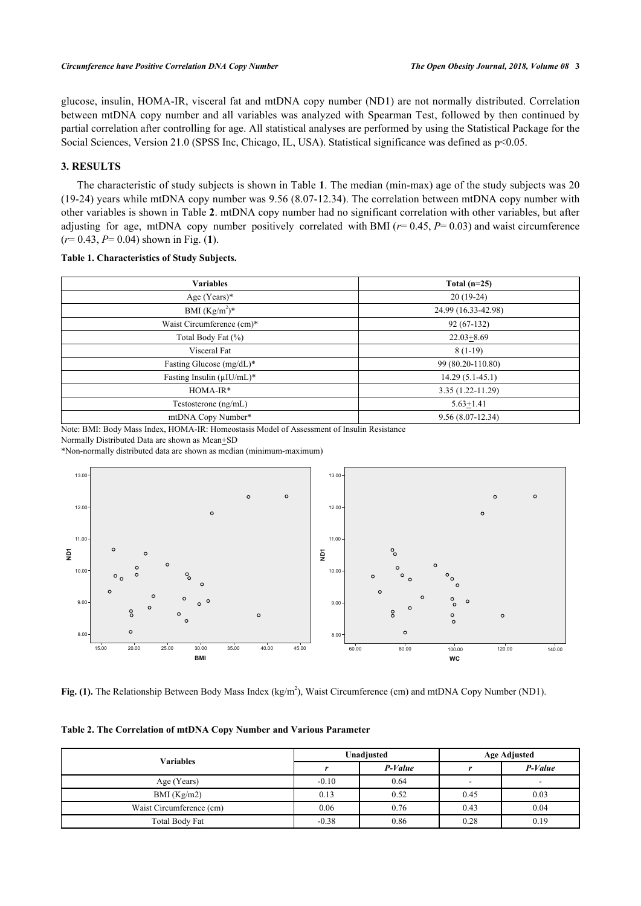glucose, insulin, HOMA-IR, visceral fat and mtDNA copy number (ND1) are not normally distributed. Correlation between mtDNA copy number and all variables was analyzed with Spearman Test, followed by then continued by partial correlation after controlling for age. All statistical analyses are performed by using the Statistical Package for the Social Sciences, Version 21.0 (SPSS Inc, Chicago, IL, USA). Statistical significance was defined as  $p<0.05$ .

# **3. RESULTS**

The characteristic of study subjects is shown in Table **[1](#page-2-0)**. The median (min-max) age of the study subjects was 20 (19-24) years while mtDNA copy number was 9.56 (8.07-12.34). The correlation between mtDNA copy number with other variables is shown in Table **[2](#page-2-1)**. mtDNA copy number had no significant correlation with other variables, but after adjusting for age, mtDNA copy number positively correlated with BMI ( $r= 0.45$ ,  $P= 0.03$ ) and waist circumference (*r*= 0.43, *P*= 0.04) shown in Fig. (**[1](#page-2-2)**).

<span id="page-2-0"></span>

|  | Table 1. Characteristics of Study Subjects. |  |  |
|--|---------------------------------------------|--|--|
|--|---------------------------------------------|--|--|

| <b>Variables</b>                 | Total $(n=25)$       |
|----------------------------------|----------------------|
| Age $(Years)*$                   | $20(19-24)$          |
| BMI $(Kg/m^2)^*$                 | 24.99 (16.33-42.98)  |
| Waist Circumference (cm)*        | $92(67-132)$         |
| Total Body Fat (%)               | $22.03 + 8.69$       |
| Visceral Fat                     | $8(1-19)$            |
| Fasting Glucose (mg/dL)*         | 99 (80.20-110.80)    |
| Fasting Insulin $(\mu I U/mL)^*$ | $14.29(5.1-45.1)$    |
| $HOMA-IR*$                       | $3.35(1.22 - 11.29)$ |
| Testosterone (ng/mL)             | $5.63 + 1.41$        |
| mtDNA Copy Number*               | $9.56(8.07-12.34)$   |

Note: BMI: Body Mass Index, HOMA-IR: Homeostasis Model of Assessment of Insulin Resistance

Normally Distributed Data are shown as Mean+SD

\*Non-normally distributed data are shown as median (minimum-maximum)

<span id="page-2-2"></span>

**Fig. (1).** The Relationship Between Body Mass Index (kg/m<sup>2</sup>), Waist Circumference (cm) and mtDNA Copy Number (ND1).

<span id="page-2-1"></span>

|  | Table 2. The Correlation of mtDNA Copy Number and Various Parameter |  |  |  |
|--|---------------------------------------------------------------------|--|--|--|
|  |                                                                     |  |  |  |

| <b>Variables</b>         |         | Unadjusted | <b>Age Adjusted</b> |         |
|--------------------------|---------|------------|---------------------|---------|
|                          |         | $P-Value$  |                     | P-Value |
| Age (Years)              | $-0.10$ | 0.64       | ۰                   | -       |
| BMI (Kg/m2)              | 0.13    | 0.52       | 0.45                | 0.03    |
| Waist Circumference (cm) | 0.06    | 0.76       | 0.43                | 0.04    |
| Total Body Fat           | $-0.38$ | 0.86       | 0.28                | 0.19    |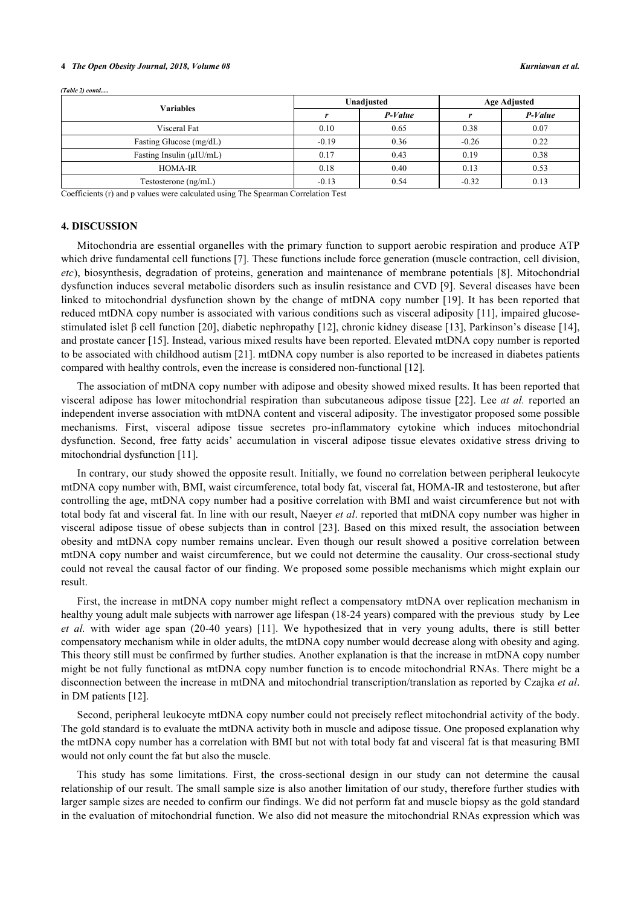## **4** *The Open Obesity Journal, 2018, Volume 08 Kurniawan et al.*

| Variables                      |         | Unadjusted | <b>Age Adjusted</b> |           |
|--------------------------------|---------|------------|---------------------|-----------|
|                                |         | $P-Value$  |                     | $P-Value$ |
| Visceral Fat                   | 0.10    | 0.65       | 0.38                | 0.07      |
| Fasting Glucose (mg/dL)        | $-0.19$ | 0.36       | $-0.26$             | 0.22      |
| Fasting Insulin $(\mu I U/mL)$ | 0.17    | 0.43       | 0.19                | 0.38      |
| <b>HOMA-IR</b>                 | 0.18    | 0.40       | 0.13                | 0.53      |
| Testosterone (ng/mL)           | $-0.13$ | 0.54       | $-0.32$             | 0.13      |

*(Table 2) contd.....*

Coefficients (r) and p values were calculated using The Spearman Correlation Test

## **4. DISCUSSION**

Mitochondria are essential organelles with the primary function to support aerobic respiration and produce ATP which drive fundamental cell functions [[7\]](#page-4-10). These functions include force generation (muscle contraction, cell division, *etc*), biosynthesis, degradation of proteins, generation and maintenance of membrane potentials [\[8](#page-4-6)]. Mitochondrial dysfunction induces several metabolic disorders such as insulin resistance and CVD [\[9](#page-4-7)]. Several diseases have been linked to mitochondrial dysfunction shown by the change of mtDNA copy number [[19](#page-5-7)]. It has been reported that reduced mtDNA copy number is associated with various conditions such as visceral adiposity [\[11\]](#page-4-9), impaired glucosestimulated islet β cell function [[20\]](#page-5-8), diabetic nephropathy [[12\]](#page-5-0), chronic kidney disease [[13](#page-5-1)], Parkinson's disease [[14\]](#page-5-2), and prostate cancer [\[15](#page-5-3)]. Instead, various mixed results have been reported. Elevated mtDNA copy number is reported to be associated with childhood autism [\[21](#page-5-9)]. mtDNA copy number is also reported to be increased in diabetes patients compared with healthy controls, even the increase is considered non-functional [\[12](#page-5-0)].

The association of mtDNA copy number with adipose and obesity showed mixed results. It has been reported that visceral adipose has lower mitochondrial respiration than subcutaneous adipose tissue [[22](#page-5-10)]. Lee *at al.* reported an independent inverse association with mtDNA content and visceral adiposity. The investigator proposed some possible mechanisms. First, visceral adipose tissue secretes pro-inflammatory cytokine which induces mitochondrial dysfunction. Second, free fatty acids' accumulation in visceral adipose tissue elevates oxidative stress driving to mitochondrial dysfunction [\[11](#page-4-9)].

In contrary, our study showed the opposite result. Initially, we found no correlation between peripheral leukocyte mtDNA copy number with, BMI, waist circumference, total body fat, visceral fat, HOMA-IR and testosterone, but after controlling the age, mtDNA copy number had a positive correlation with BMI and waist circumference but not with total body fat and visceral fat. In line with our result, Naeyer *et al*. reported that mtDNA copy number was higher in visceral adipose tissue of obese subjects than in control [[23\]](#page-5-11). Based on this mixed result, the association between obesity and mtDNA copy number remains unclear. Even though our result showed a positive correlation between mtDNA copy number and waist circumference, but we could not determine the causality. Our cross-sectional study could not reveal the causal factor of our finding. We proposed some possible mechanisms which might explain our result.

First, the increase in mtDNA copy number might reflect a compensatory mtDNA over replication mechanism in healthy young adult male subjects with narrower age lifespan (18-24 years) compared with the previous study by Lee *et al.* with wider age span (20-40 years) [\[11\]](#page-4-9). We hypothesized that in very young adults, there is still better compensatory mechanism while in older adults, the mtDNA copy number would decrease along with obesity and aging. This theory still must be confirmed by further studies. Another explanation is that the increase in mtDNA copy number might be not fully functional as mtDNA copy number function is to encode mitochondrial RNAs. There might be a disconnection between the increase in mtDNA and mitochondrial transcription/translation as reported by Czajka *et al*. in DM patients [[12\]](#page-5-0).

Second, peripheral leukocyte mtDNA copy number could not precisely reflect mitochondrial activity of the body. The gold standard is to evaluate the mtDNA activity both in muscle and adipose tissue. One proposed explanation why the mtDNA copy number has a correlation with BMI but not with total body fat and visceral fat is that measuring BMI would not only count the fat but also the muscle.

This study has some limitations. First, the cross-sectional design in our study can not determine the causal relationship of our result. The small sample size is also another limitation of our study, therefore further studies with larger sample sizes are needed to confirm our findings. We did not perform fat and muscle biopsy as the gold standard in the evaluation of mitochondrial function. We also did not measure the mitochondrial RNAs expression which was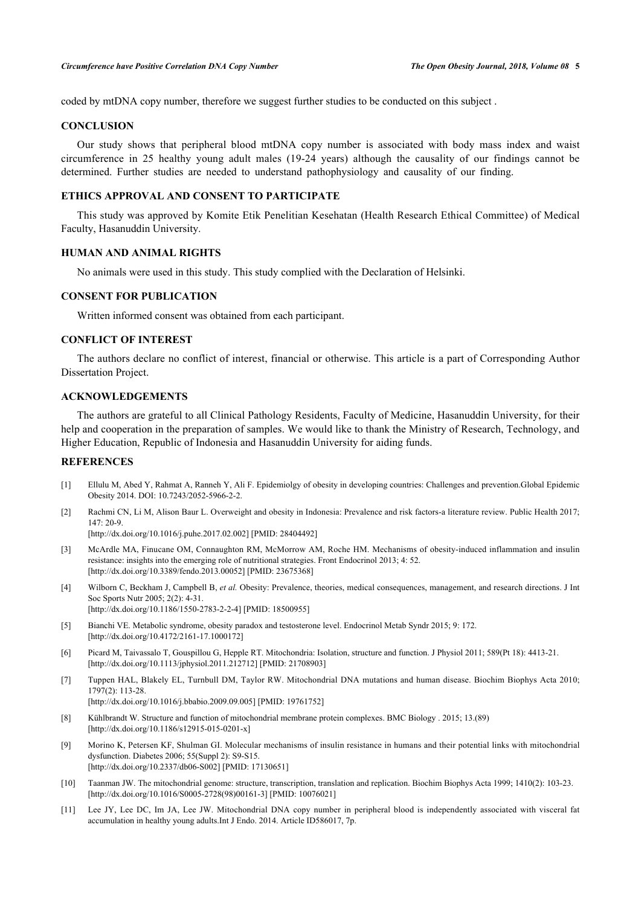coded by mtDNA copy number, therefore we suggest further studies to be conducted on this subject .

# **CONCLUSION**

Our study shows that peripheral blood mtDNA copy number is associated with body mass index and waist circumference in 25 healthy young adult males (19-24 years) although the causality of our findings cannot be determined. Further studies are needed to understand pathophysiology and causality of our finding.

# **ETHICS APPROVAL AND CONSENT TO PARTICIPATE**

This study was approved by Komite Etik Penelitian Kesehatan (Health Research Ethical Committee) of Medical Faculty, Hasanuddin University.

# **HUMAN AND ANIMAL RIGHTS**

No animals were used in this study. This study complied with the Declaration of Helsinki.

## **CONSENT FOR PUBLICATION**

Written informed consent was obtained from each participant.

# **CONFLICT OF INTEREST**

The authors declare no conflict of interest, financial or otherwise. This article is a part of Corresponding Author Dissertation Project.

# **ACKNOWLEDGEMENTS**

The authors are grateful to all Clinical Pathology Residents, Faculty of Medicine, Hasanuddin University, for their help and cooperation in the preparation of samples. We would like to thank the Ministry of Research, Technology, and Higher Education, Republic of Indonesia and Hasanuddin University for aiding funds.

# **REFERENCES**

- <span id="page-4-0"></span>[1] Ellulu M, Abed Y, Rahmat A, Ranneh Y, Ali F. Epidemiolgy of obesity in developing countries: Challenges and prevention.Global Epidemic Obesity 2014. DOI: 10.7243/2052-5966-2-2.
- <span id="page-4-1"></span>[2] Rachmi CN, Li M, Alison Baur L. Overweight and obesity in Indonesia: Prevalence and risk factors-a literature review. Public Health 2017; 147: 20-9.

[\[http://dx.doi.org/10.1016/j.puhe.2017.02.002\]](http://dx.doi.org/10.1016/j.puhe.2017.02.002) [PMID: [28404492](http://www.ncbi.nlm.nih.gov/pubmed/28404492)]

- <span id="page-4-2"></span>[3] McArdle MA, Finucane OM, Connaughton RM, McMorrow AM, Roche HM. Mechanisms of obesity-induced inflammation and insulin resistance: insights into the emerging role of nutritional strategies. Front Endocrinol 2013; 4: 52. [\[http://dx.doi.org/10.3389/fendo.2013.00052](http://dx.doi.org/10.3389/fendo.2013.00052)] [PMID: [23675368\]](http://www.ncbi.nlm.nih.gov/pubmed/23675368)
- <span id="page-4-3"></span>[4] Wilborn C, Beckham J, Campbell B, *et al.* Obesity: Prevalence, theories, medical consequences, management, and research directions. J Int Soc Sports Nutr 2005; 2(2): 4-31. [\[http://dx.doi.org/10.1186/1550-2783-2-2-4](http://dx.doi.org/10.1186/1550-2783-2-2-4)] [PMID: [18500955](http://www.ncbi.nlm.nih.gov/pubmed/18500955)]
- <span id="page-4-4"></span>[5] Bianchi VE. Metabolic syndrome, obesity paradox and testosterone level. Endocrinol Metab Syndr 2015; 9: 172. [\[http://dx.doi.org/10.4172/2161-17.1000172](http://dx.doi.org/10.4172/2161-17.1000172)]
- <span id="page-4-5"></span>[6] Picard M, Taivassalo T, Gouspillou G, Hepple RT. Mitochondria: Isolation, structure and function. J Physiol 2011; 589(Pt 18): 4413-21. [\[http://dx.doi.org/10.1113/jphysiol.2011.212712\]](http://dx.doi.org/10.1113/jphysiol.2011.212712) [PMID: [21708903](http://www.ncbi.nlm.nih.gov/pubmed/21708903)]
- <span id="page-4-10"></span>[7] Tuppen HAL, Blakely EL, Turnbull DM, Taylor RW. Mitochondrial DNA mutations and human disease. Biochim Biophys Acta 2010; 1797(2): 113-28. [\[http://dx.doi.org/10.1016/j.bbabio.2009.09.005\]](http://dx.doi.org/10.1016/j.bbabio.2009.09.005) [PMID: [19761752](http://www.ncbi.nlm.nih.gov/pubmed/19761752)]
- <span id="page-4-6"></span>[8] Kühlbrandt W. Structure and function of mitochondrial membrane protein complexes. BMC Biology . 2015; 13.(89) [\[http://dx.doi.org/10.1186/s12915-015-0201-x\]](http://dx.doi.org/10.1186/s12915-015-0201-x)
- <span id="page-4-7"></span>[9] Morino K, Petersen KF, Shulman GI. Molecular mechanisms of insulin resistance in humans and their potential links with mitochondrial dysfunction. Diabetes 2006; 55(Suppl 2): S9-S15. [\[http://dx.doi.org/10.2337/db06-S002\]](http://dx.doi.org/10.2337/db06-S002) [PMID: [17130651](http://www.ncbi.nlm.nih.gov/pubmed/17130651)]
- <span id="page-4-8"></span>[10] Taanman JW. The mitochondrial genome: structure, transcription, translation and replication. Biochim Biophys Acta 1999; 1410(2): 103-23. [\[http://dx.doi.org/10.1016/S0005-2728\(98\)00161-3\]](http://dx.doi.org/10.1016/S0005-2728(98)00161-3) [PMID: [10076021](http://www.ncbi.nlm.nih.gov/pubmed/10076021)]
- <span id="page-4-9"></span>[11] Lee JY, Lee DC, Im JA, Lee JW. Mitochondrial DNA copy number in peripheral blood is independently associated with visceral fat accumulation in healthy young adults.Int J Endo. 2014. Article ID586017, 7p.